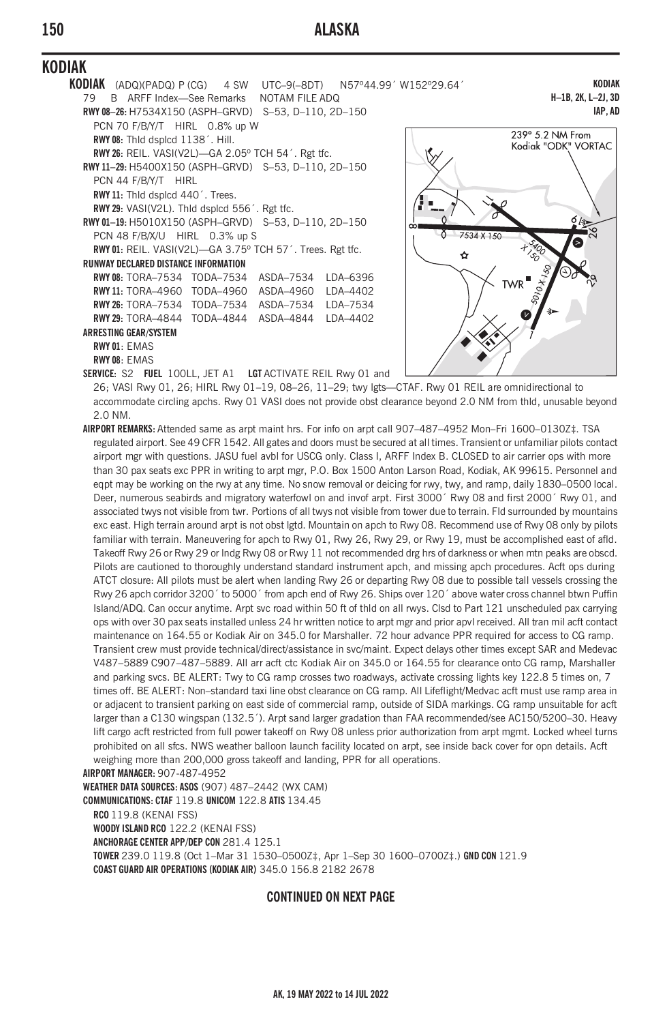# **150 ALASKA**

# **KODIAK**

- **KODIAK** (ADQ)(PADQ) P (CG) 4 SW UTC–9(–8DT) N57º44.99´ W152º29.64´ 79 B ARFF Index—See Remarks NOTAM FILE ADQ **RWY 08–26:** H7534X150 (ASPH–GRVD) S–53, D–110, 2D–150 PCN 70 F/B/Y/T HIRL 0.8% up W **RWY 08:** Thld dsplcd 1138´. Hill. **RWY 26:** REIL. VASI(V2L)—GA 2.05º TCH 54´. Rgt tfc. **RWY 11–29:** H5400X150 (ASPH–GRVD) S–53, D–110, 2D–150 PCN 44 F/B/Y/T HIRL **RWY 11:** Thld dsplcd 440´. Trees. **RWY 29:** VASI(V2L). Thld dsplcd 556´. Rgt tfc.
	- **RWY 01–19:** H5010X150 (ASPH–GRVD) S–53, D–110, 2D–150 PCN 48 F/B/X/U HIRL 0.3% up S **RWY 01:** REIL. VASI(V2L)—GA 3.75º TCH 57´. Trees. Rgt tfc.
	- **RUNWAY DECLARED DISTANCE INFORMATION RWY 08:** TORA–7534 TODA–7534 ASDA–7534 LDA–6396 **RWY 11:** TORA–4960 TODA–4960 ASDA–4960 LDA–4402 **RWY 26:** TORA–7534 TODA–7534 ASDA–7534 LDA–7534 **RWY 29:** TORA–4844 TODA–4844 ASDA–4844 LDA–4402 **ARRESTING GEAR/SYSTEM RWY 01**: EMAS
		- **RWY 08**: EMAS

**SERVICE:** S2 **FUEL** 100LL, JET A1 **LGT** ACTIVATE REIL Rwy 01 and

**IAP, AD** 239° 5.2 NM From Kodiak "ODK" VORTAC  $\overline{A}$ ◆

**KODIAK H–1B, 2K, L–2J, 3D**

26; VASI Rwy 01, 26; HIRL Rwy 01–19, 08–26, 11–29; twy lgts—CTAF. Rwy 01 REIL are omnidirectional to accommodate circling apchs. Rwy 01 VASI does not provide obst clearance beyond 2.0 NM from thld, unusable beyond 2.0 NM.

**AIRPORT REMARKS:** Attended same as arpt maint hrs. For info on arpt call 907–487–4952 Mon–Fri 1600–0130Z‡. TSA regulated airport. See 49 CFR 1542. All gates and doors must be secured at all times. Transient or unfamiliar pilots contact airport mgr with questions. JASU fuel avbl for USCG only. Class I, ARFF Index B. CLOSED to air carrier ops with more than 30 pax seats exc PPR in writing to arpt mgr, P.O. Box 1500 Anton Larson Road, Kodiak, AK 99615. Personnel and eqpt may be working on the rwy at any time. No snow removal or deicing for rwy, twy, and ramp, daily 1830–0500 local. Deer, numerous seabirds and migratory waterfowl on and invof arpt. First 3000´ Rwy 08 and first 2000´ Rwy 01, and associated twys not visible from twr. Portions of all twys not visible from tower due to terrain. Fld surrounded by mountains exc east. High terrain around arpt is not obst lgtd. Mountain on apch to Rwy 08. Recommend use of Rwy 08 only by pilots familiar with terrain. Maneuvering for apch to Rwy 01, Rwy 26, Rwy 29, or Rwy 19, must be accomplished east of afld. Takeoff Rwy 26 or Rwy 29 or lndg Rwy 08 or Rwy 11 not recommended drg hrs of darkness or when mtn peaks are obscd. Pilots are cautioned to thoroughly understand standard instrument apch, and missing apch procedures. Acft ops during ATCT closure: All pilots must be alert when landing Rwy 26 or departing Rwy 08 due to possible tall vessels crossing the Rwy 26 apch corridor 3200´ to 5000´ from apch end of Rwy 26. Ships over 120´ above water cross channel btwn Puffin Island/ADQ. Can occur anytime. Arpt svc road within 50 ft of thld on all rwys. Clsd to Part 121 unscheduled pax carrying ops with over 30 pax seats installed unless 24 hr written notice to arpt mgr and prior apvl received. All tran mil acft contact maintenance on 164.55 or Kodiak Air on 345.0 for Marshaller. 72 hour advance PPR required for access to CG ramp. Transient crew must provide technical/direct/assistance in svc/maint. Expect delays other times except SAR and Medevac V487–5889 C907–487–5889. All arr acft ctc Kodiak Air on 345.0 or 164.55 for clearance onto CG ramp, Marshaller and parking svcs. BE ALERT: Twy to CG ramp crosses two roadways, activate crossing lights key 122.8 5 times on, 7 times off. BE ALERT: Non–standard taxi line obst clearance on CG ramp. All Lifeflight/Medvac acft must use ramp area in or adjacent to transient parking on east side of commercial ramp, outside of SIDA markings. CG ramp unsuitable for acft larger than a C130 wingspan (132.5´). Arpt sand larger gradation than FAA recommended/see AC150/5200–30. Heavy lift cargo acft restricted from full power takeoff on Rwy 08 unless prior authorization from arpt mgmt. Locked wheel turns prohibited on all sfcs. NWS weather balloon launch facility located on arpt, see inside back cover for opn details. Acft weighing more than 200,000 gross takeoff and landing, PPR for all operations.

**AIRPORT MANAGER:** 907-487-4952

**WEATHER DATA SOURCES: ASOS** (907) 487–2442 (WX CAM)

**COMMUNICATIONS: CTAF** 119.8 **UNICOM** 122.8 **ATIS** 134.45

**RCO** 119.8 (KENAI FSS)

**WOODY ISLAND RCO** 122.2 (KENAI FSS)

**ANCHORAGE CENTER APP/DEP CON** 281.4 125.1

**TOWER** 239.0 119.8 (Oct 1–Mar 31 1530–0500Z‡, Apr 1–Sep 30 1600–0700Z‡.) **GND CON** 121.9 **COAST GUARD AIR OPERATIONS (KODIAK AIR)** 345.0 156.8 2182 2678

#### **CONTINUED ON NEXT PAGE**